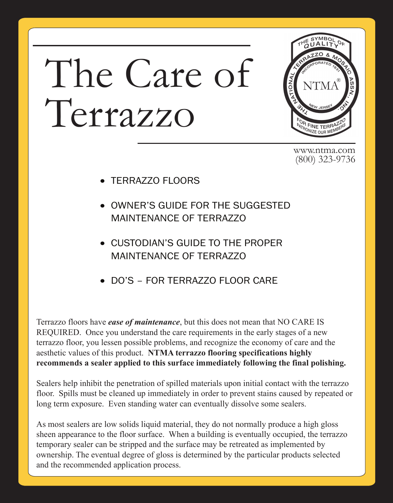# The Care of Terrazzo



www.ntma.com (800) 323-9736

- TERRAZZO FLOORS
- OWNER'S GUIDE FOR THE SUGGESTED MAINTENANCE OF TERRAZZO
- CUSTODIAN'S GUIDE TO THE PROPER MAINTENANCE OF TERRAZZO
- DO'S FOR TERRAZZO FLOOR CARE

Terrazzo floors have *ease of maintenance*, but this does not mean that NO CARE IS REQUIRED. Once you understand the care requirements in the early stages of a new terrazzo floor, you lessen possible problems, and recognize the economy of care and the aesthetic values of this product. **NTMA terrazzo flooring specifications highly recommends a sealer applied to this surface immediately following the final polishing.**

Sealers help inhibit the penetration of spilled materials upon initial contact with the terrazzo floor. Spills must be cleaned up immediately in order to prevent stains caused by repeated or long term exposure. Even standing water can eventually dissolve some sealers.

As most sealers are low solids liquid material, they do not normally produce a high gloss sheen appearance to the floor surface. When a building is eventually occupied, the terrazzo temporary sealer can be stripped and the surface may be retreated as implemented by ownership. The eventual degree of gloss is determined by the particular products selected and the recommended application process.